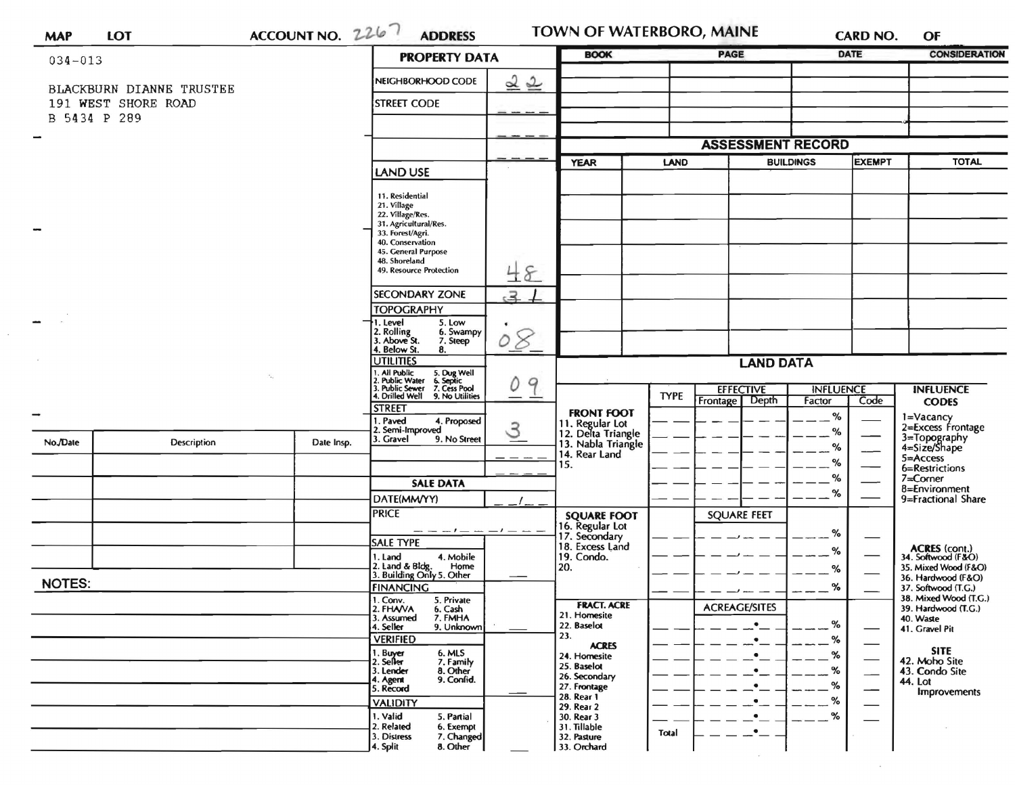|                          |                          |  | ACCOUNT NO. 2267 | <b>PROPERTY DATA</b>                                                                                                      |                     | <b>BOOK</b>                           |             | <b>PAGE</b>              |                  | DATE          | <b>CONSIDERATION</b>                         |
|--------------------------|--------------------------|--|------------------|---------------------------------------------------------------------------------------------------------------------------|---------------------|---------------------------------------|-------------|--------------------------|------------------|---------------|----------------------------------------------|
| $034 - 013$              |                          |  |                  |                                                                                                                           |                     |                                       |             |                          |                  |               |                                              |
|                          | BLACKBURN DIANNE TRUSTEE |  |                  | NEIGHBORHOOD CODE                                                                                                         | 22                  |                                       |             |                          |                  |               |                                              |
|                          | 191 WEST SHORE ROAD      |  |                  | <b>STREET CODE</b>                                                                                                        |                     |                                       |             |                          |                  |               |                                              |
|                          | B 5434 P 289             |  |                  |                                                                                                                           |                     |                                       |             |                          |                  |               |                                              |
| $\overline{\phantom{a}}$ |                          |  |                  |                                                                                                                           |                     |                                       |             | <b>ASSESSMENT RECORD</b> |                  |               |                                              |
|                          |                          |  |                  |                                                                                                                           |                     | <b>YEAR</b>                           | <b>LAND</b> |                          | <b>BUILDINGS</b> | <b>EXEMPT</b> | <b>TOTAL</b>                                 |
|                          |                          |  |                  | <b>LAND USE</b>                                                                                                           |                     |                                       |             |                          |                  |               |                                              |
|                          |                          |  |                  | 11. Residential                                                                                                           |                     |                                       |             |                          |                  |               |                                              |
|                          |                          |  |                  | 21. Village<br>22. Village/Res.                                                                                           |                     |                                       |             |                          |                  |               |                                              |
| $\sim$                   |                          |  |                  | 31. Agricultural/Res.<br>33. Forest/Agri.                                                                                 |                     |                                       |             |                          |                  |               |                                              |
|                          |                          |  |                  | 40. Conservation<br>45. General Purpose                                                                                   |                     |                                       |             |                          |                  |               |                                              |
|                          |                          |  |                  | 48. Shoreland<br>49. Resource Protection                                                                                  | 48                  |                                       |             |                          |                  |               |                                              |
|                          |                          |  |                  |                                                                                                                           |                     |                                       |             |                          |                  |               |                                              |
|                          |                          |  |                  | <b>SECONDARY ZONE</b><br><b>TOPOGRAPHY</b>                                                                                | $\epsilon$          |                                       |             |                          |                  |               |                                              |
|                          |                          |  |                  | $\neg$ 1. Level<br>5. Low                                                                                                 |                     |                                       |             |                          |                  |               |                                              |
|                          |                          |  |                  | 2. Rolling<br>3. Above St.<br>6. Swampy<br>7. Steep                                                                       | 8 <sup>o</sup><br>Ď |                                       |             |                          |                  |               |                                              |
|                          |                          |  |                  | 4. Below St.<br>8.<br><b>JTILITIES</b>                                                                                    |                     |                                       |             | <b>LAND DATA</b>         |                  |               |                                              |
|                          |                          |  |                  |                                                                                                                           |                     |                                       |             |                          |                  |               |                                              |
|                          |                          |  |                  | 1. All Public 5. Dug Well<br>2. Public Water 6. Septic<br>3. Public Sewer 7. Cess Pool<br>4. Drilled Well 9. No Utilities | 9                   |                                       | <b>TYPE</b> | <b>EFFECTIVE</b>         | <b>INFLUENCE</b> |               | <b>INFLUENCE</b>                             |
| $\rightarrow$            |                          |  |                  | <b>STREET</b>                                                                                                             |                     | <b>FRONT FOOT</b>                     |             | Frontage Depth           | Factor<br>%      | Code          | <b>CODES</b>                                 |
|                          |                          |  |                  | I. Paved<br>4. Proposed<br>2. Semi-Improved                                                                               | З                   | 11. Regular Lot<br>12. Delta Triangle |             |                          | %                |               | 1=Vacancy<br>2=Excess Frontage               |
| No./Date                 | Description              |  | Date Insp.       | 3. Gravel<br>9. No Street                                                                                                 |                     | 13. Nabla Triangle                    |             |                          | %                |               | 3=Topography<br>4=Size/Shape                 |
|                          |                          |  |                  |                                                                                                                           |                     | 14. Rear Land<br>15.                  |             |                          | %                |               | 5=Access<br>6=Restrictions                   |
|                          |                          |  |                  | <b>SALE DATA</b>                                                                                                          |                     |                                       |             |                          | %                |               | $7 =$ Corner<br>8=Environment                |
|                          |                          |  |                  | DATE(MM/YY)                                                                                                               |                     |                                       |             |                          | %                |               | 9=Fractional Share                           |
|                          |                          |  |                  | <b>PRICE</b>                                                                                                              |                     | <b>SQUARE FOOT</b>                    |             | <b>SQUARE FEET</b>       |                  |               |                                              |
|                          |                          |  |                  | $- - - -$<br><b>SALE TYPE</b>                                                                                             |                     | 16. Regular Lot<br>17. Secondary      |             |                          | %                |               |                                              |
|                          |                          |  |                  | 4. Mobile<br>1. Land                                                                                                      |                     | 18. Excess Land<br>19. Condo.         |             |                          | %                |               | ACRES (cont.)<br>34. Softwood (F&O)          |
|                          |                          |  |                  | 2. Land & Bldg. Home<br>3. Building Only 5. Other<br>Home                                                                 |                     | 20.                                   |             |                          | %                |               | 35. Mixed Wood (F&O)<br>36. Hardwood (F&O)   |
| <b>NOTES:</b>            |                          |  |                  | <b>FINANCING</b>                                                                                                          |                     |                                       |             |                          | $--- $ %         |               | 37. Softwood (T.G.)                          |
|                          |                          |  |                  | 1. Conv.<br>5. Private<br>2. FHAVA<br>6. Cash                                                                             |                     | <b>FRACT. ACRE</b><br>21. Homesite    |             | <b>ACREAGE/SITES</b>     |                  |               | 38. Mixed Wood (T.G.)<br>39. Hardwood (T.G.) |
|                          |                          |  |                  | 7. FMHA<br>3. Assumed<br>4. Seller<br>9. Unknown                                                                          |                     | 22. Baselot                           |             | $\bullet$                | %                |               | 40. Waste<br>41. Gravel Pit                  |
|                          |                          |  |                  | <b>VERIFIED</b>                                                                                                           |                     | 23.<br><b>ACRES</b>                   |             |                          | %                |               |                                              |
|                          |                          |  |                  | 1. Buyer<br>2. Seller<br>6. MLS<br>7. Family                                                                              |                     | 24. Homesite<br>25. Baselot           |             |                          | %                |               | <b>SITE</b><br>42. Moho Site                 |
|                          |                          |  |                  | 3. Lender<br>8. Other<br>9. Confid.<br>4. Agent                                                                           |                     | 26. Secondary                         |             |                          | %<br>%           |               | 43. Condo Site<br>44. Lot                    |
|                          |                          |  |                  | 5. Record<br><b>VALIDITY</b>                                                                                              |                     | 27. Frontage<br>28. Rear 1            |             |                          | %                |               | Improvements                                 |
|                          |                          |  |                  | 1. Valid<br>5. Partial                                                                                                    |                     | 29. Rear 2<br>30. Rear 3              |             |                          | %                |               |                                              |
|                          |                          |  |                  | 2. Related<br>6. Exempt<br>3. Distress<br>7. Changed                                                                      |                     | 31. Tillable<br>32. Pasture           | Total       |                          |                  |               |                                              |
|                          |                          |  |                  | 4. Split<br>8. Other                                                                                                      |                     | 33. Orchard                           |             |                          |                  |               |                                              |

 $\overline{R}$  and  $\overline{R}$ 

 $\epsilon$